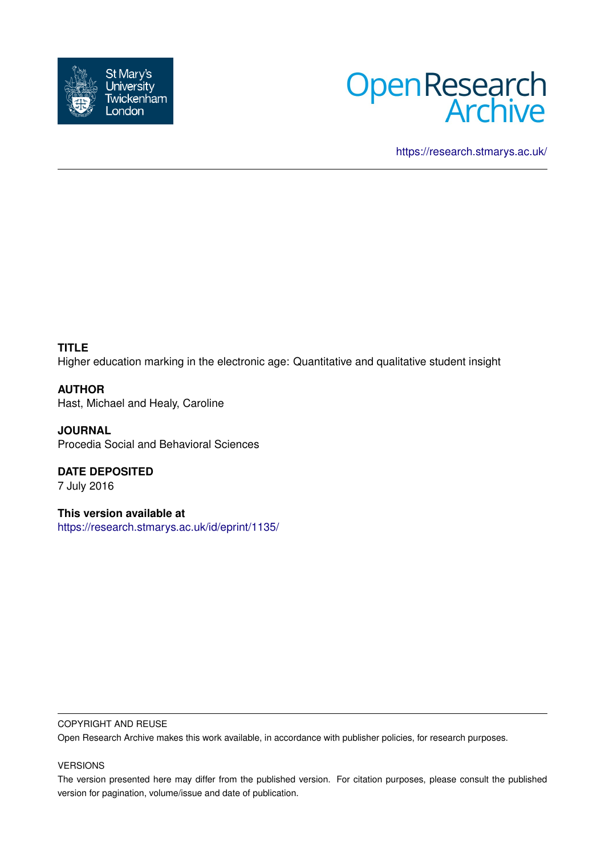



<https://research.stmarys.ac.uk/>

**TITLE**

Higher education marking in the electronic age: Quantitative and qualitative student insight

**AUTHOR** Hast, Michael and Healy, Caroline

**JOURNAL** Procedia Social and Behavioral Sciences

**DATE DEPOSITED** 7 July 2016

**This version available at** <https://research.stmarys.ac.uk/id/eprint/1135/>

## COPYRIGHT AND REUSE

Open Research Archive makes this work available, in accordance with publisher policies, for research purposes.

# VERSIONS

The version presented here may differ from the published version. For citation purposes, please consult the published version for pagination, volume/issue and date of publication.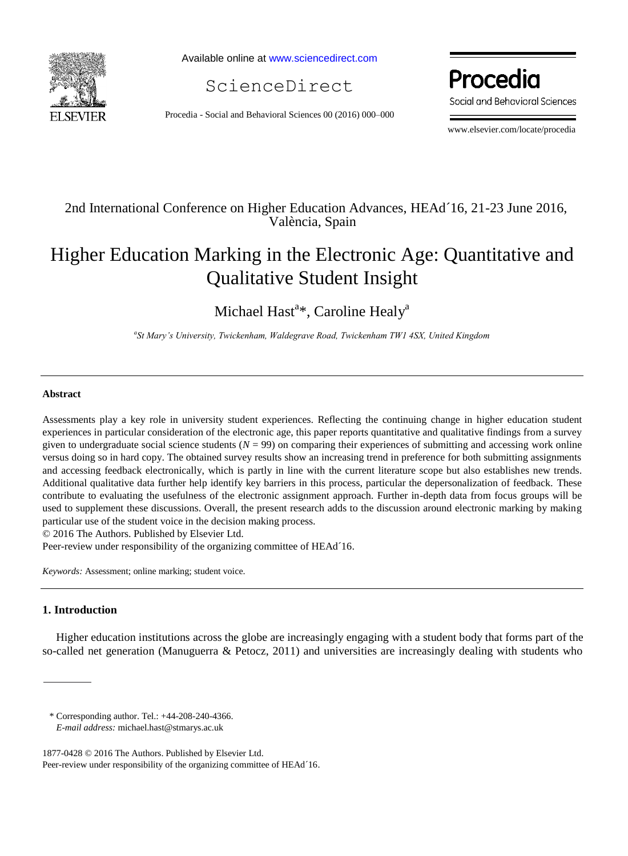

Available online at [www.sciencedirect.com](http://www.sciencedirect.com/science/journal/22120173)

ScienceDirect

Procedia - Social and Behavioral Sciences 00 (2016) 000–000

Procedia Social and Behavioral Sciences

www.elsevier.com/locate/procedia

# 2nd International Conference on Higher Education Advances, HEAd´16, 21-23 June 2016, València, Spain

# Higher Education Marking in the Electronic Age: Quantitative and Qualitative Student Insight

Michael Hast<sup>a\*</sup>, Caroline Healy<sup>a</sup>

*a St Mary's University, Twickenham, Waldegrave Road, Twickenham TW1 4SX, United Kingdom* 

#### **Abstract**

Assessments play a key role in university student experiences. Reflecting the continuing change in higher education student experiences in particular consideration of the electronic age, this paper reports quantitative and qualitative findings from a survey given to undergraduate social science students  $(N = 99)$  on comparing their experiences of submitting and accessing work online versus doing so in hard copy. The obtained survey results show an increasing trend in preference for both submitting assignments and accessing feedback electronically, which is partly in line with the current literature scope but also establishes new trends. Additional qualitative data further help identify key barriers in this process, particular the depersonalization of feedback. These contribute to evaluating the usefulness of the electronic assignment approach. Further in-depth data from focus groups will be used to supplement these discussions. Overall, the present research adds to the discussion around electronic marking by making particular use of the student voice in the decision making process.

© 2016 The Authors. Published by Elsevier Ltd.

Peer-review under responsibility of the organizing committee of HEAd´16.

*Keywords:* Assessment; online marking; student voice.

## **1. Introduction**

Higher education institutions across the globe are increasingly engaging with a student body that forms part of the so-called net generation (Manuguerra & Petocz, 2011) and universities are increasingly dealing with students who

\* Corresponding author. Tel.: +44-208-240-4366.

*E-mail address:* michael.hast@stmarys.ac.uk

<sup>1877-0428 © 2016</sup> The Authors. Published by Elsevier Ltd. Peer-review under responsibility of the organizing committee of HEAd´16.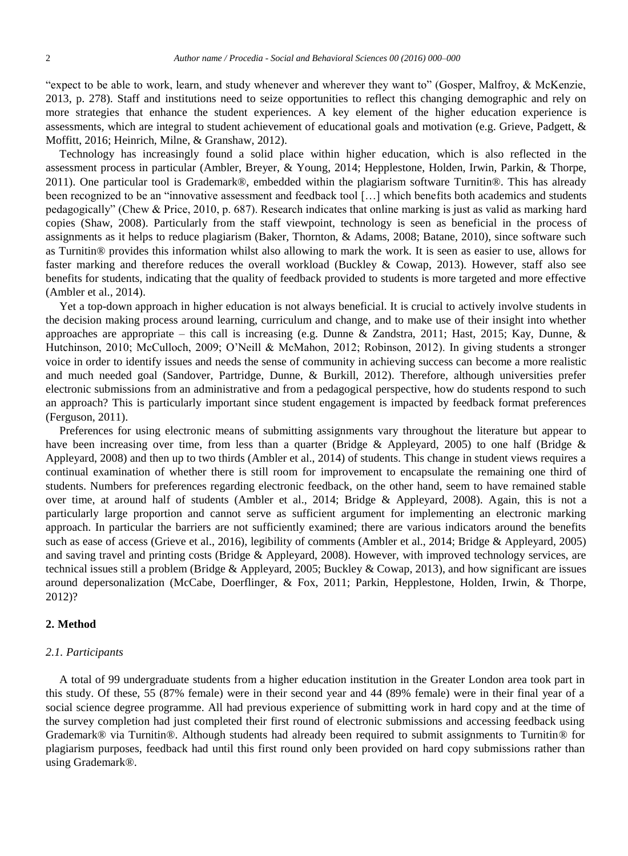"expect to be able to work, learn, and study whenever and wherever they want to" (Gosper, Malfroy, & McKenzie, 2013, p. 278). Staff and institutions need to seize opportunities to reflect this changing demographic and rely on more strategies that enhance the student experiences. A key element of the higher education experience is assessments, which are integral to student achievement of educational goals and motivation (e.g. Grieve, Padgett, & Moffitt, 2016; Heinrich, Milne, & Granshaw, 2012).

Technology has increasingly found a solid place within higher education, which is also reflected in the assessment process in particular (Ambler, Breyer, & Young, 2014; Hepplestone, Holden, Irwin, Parkin, & Thorpe, 2011). One particular tool is Grademark®, embedded within the plagiarism software Turnitin®. This has already been recognized to be an "innovative assessment and feedback tool […] which benefits both academics and students pedagogically" (Chew & Price, 2010, p. 687). Research indicates that online marking is just as valid as marking hard copies (Shaw, 2008). Particularly from the staff viewpoint, technology is seen as beneficial in the process of assignments as it helps to reduce plagiarism (Baker, Thornton, & Adams, 2008; Batane, 2010), since software such as Turnitin® provides this information whilst also allowing to mark the work. It is seen as easier to use, allows for faster marking and therefore reduces the overall workload (Buckley & Cowap, 2013). However, staff also see benefits for students, indicating that the quality of feedback provided to students is more targeted and more effective (Ambler et al., 2014).

Yet a top-down approach in higher education is not always beneficial. It is crucial to actively involve students in the decision making process around learning, curriculum and change, and to make use of their insight into whether approaches are appropriate – this call is increasing (e.g. Dunne & Zandstra, 2011; Hast, 2015; Kay, Dunne, & Hutchinson, 2010; McCulloch, 2009; O'Neill & McMahon, 2012; Robinson, 2012). In giving students a stronger voice in order to identify issues and needs the sense of community in achieving success can become a more realistic and much needed goal (Sandover, Partridge, Dunne, & Burkill, 2012). Therefore, although universities prefer electronic submissions from an administrative and from a pedagogical perspective, how do students respond to such an approach? This is particularly important since student engagement is impacted by feedback format preferences (Ferguson, 2011).

Preferences for using electronic means of submitting assignments vary throughout the literature but appear to have been increasing over time, from less than a quarter (Bridge & Appleyard, 2005) to one half (Bridge & Appleyard, 2008) and then up to two thirds (Ambler et al., 2014) of students. This change in student views requires a continual examination of whether there is still room for improvement to encapsulate the remaining one third of students. Numbers for preferences regarding electronic feedback, on the other hand, seem to have remained stable over time, at around half of students (Ambler et al., 2014; Bridge & Appleyard, 2008). Again, this is not a particularly large proportion and cannot serve as sufficient argument for implementing an electronic marking approach. In particular the barriers are not sufficiently examined; there are various indicators around the benefits such as ease of access (Grieve et al., 2016), legibility of comments (Ambler et al., 2014; Bridge & Appleyard, 2005) and saving travel and printing costs (Bridge & Appleyard, 2008). However, with improved technology services, are technical issues still a problem (Bridge & Appleyard, 2005; Buckley & Cowap, 2013), and how significant are issues around depersonalization (McCabe, Doerflinger, & Fox, 2011; Parkin, Hepplestone, Holden, Irwin, & Thorpe, 2012)?

## **2. Method**

#### *2.1. Participants*

A total of 99 undergraduate students from a higher education institution in the Greater London area took part in this study. Of these, 55 (87% female) were in their second year and 44 (89% female) were in their final year of a social science degree programme. All had previous experience of submitting work in hard copy and at the time of the survey completion had just completed their first round of electronic submissions and accessing feedback using Grademark® via Turnitin®. Although students had already been required to submit assignments to Turnitin® for plagiarism purposes, feedback had until this first round only been provided on hard copy submissions rather than using Grademark®.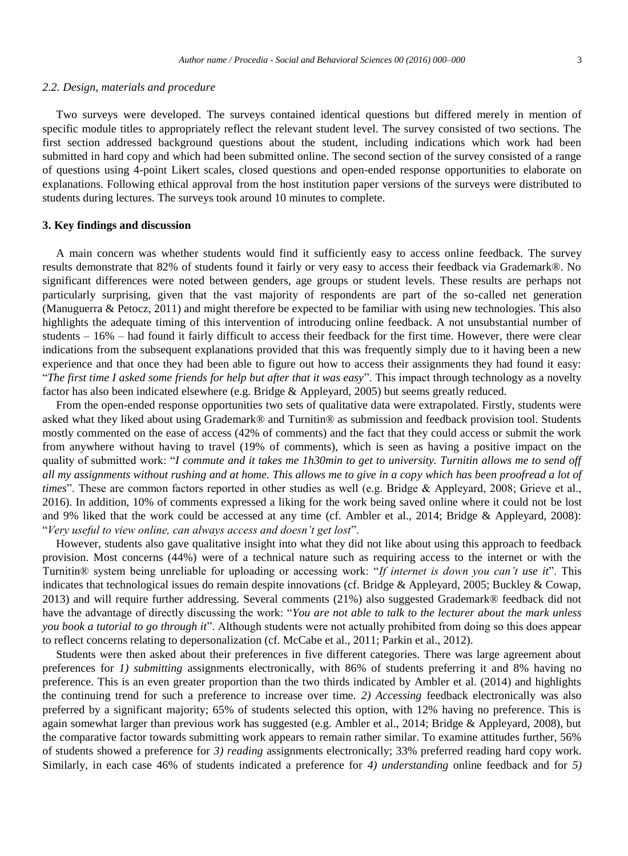#### *2.2. Design, materials and procedure*

Two surveys were developed. The surveys contained identical questions but differed merely in mention of specific module titles to appropriately reflect the relevant student level. The survey consisted of two sections. The first section addressed background questions about the student, including indications which work had been submitted in hard copy and which had been submitted online. The second section of the survey consisted of a range of questions using 4-point Likert scales, closed questions and open-ended response opportunities to elaborate on explanations. Following ethical approval from the host institution paper versions of the surveys were distributed to students during lectures. The surveys took around 10 minutes to complete.

#### **3. Key findings and discussion**

A main concern was whether students would find it sufficiently easy to access online feedback. The survey results demonstrate that 82% of students found it fairly or very easy to access their feedback via Grademark®. No significant differences were noted between genders, age groups or student levels. These results are perhaps not particularly surprising, given that the vast majority of respondents are part of the so-called net generation (Manuguerra & Petocz, 2011) and might therefore be expected to be familiar with using new technologies. This also highlights the adequate timing of this intervention of introducing online feedback. A not unsubstantial number of students – 16% – had found it fairly difficult to access their feedback for the first time. However, there were clear indications from the subsequent explanations provided that this was frequently simply due to it having been a new experience and that once they had been able to figure out how to access their assignments they had found it easy: "*The first time I asked some friends for help but after that it was easy*". This impact through technology as a novelty factor has also been indicated elsewhere (e.g. Bridge & Appleyard, 2005) but seems greatly reduced.

From the open-ended response opportunities two sets of qualitative data were extrapolated. Firstly, students were asked what they liked about using Grademark® and Turnitin® as submission and feedback provision tool. Students mostly commented on the ease of access (42% of comments) and the fact that they could access or submit the work from anywhere without having to travel (19% of comments), which is seen as having a positive impact on the quality of submitted work: "*I commute and it takes me 1h30min to get to university. Turnitin allows me to send off all my assignments without rushing and at home. This allows me to give in a copy which has been proofread a lot of times*". These are common factors reported in other studies as well (e.g. Bridge & Appleyard, 2008; Grieve et al., 2016). In addition, 10% of comments expressed a liking for the work being saved online where it could not be lost and 9% liked that the work could be accessed at any time (cf. Ambler et al., 2014; Bridge & Appleyard, 2008): "*Very useful to view online, can always access and doesn't get lost*".

However, students also gave qualitative insight into what they did not like about using this approach to feedback provision. Most concerns (44%) were of a technical nature such as requiring access to the internet or with the Turnitin® system being unreliable for uploading or accessing work: "*If internet is down you can't use it*". This indicates that technological issues do remain despite innovations (cf. Bridge & Appleyard, 2005; Buckley & Cowap, 2013) and will require further addressing. Several comments (21%) also suggested Grademark® feedback did not have the advantage of directly discussing the work: "*You are not able to talk to the lecturer about the mark unless you book a tutorial to go through it*". Although students were not actually prohibited from doing so this does appear to reflect concerns relating to depersonalization (cf. McCabe et al., 2011; Parkin et al., 2012).

Students were then asked about their preferences in five different categories. There was large agreement about preferences for *1) submitting* assignments electronically, with 86% of students preferring it and 8% having no preference. This is an even greater proportion than the two thirds indicated by Ambler et al. (2014) and highlights the continuing trend for such a preference to increase over time. *2) Accessing* feedback electronically was also preferred by a significant majority; 65% of students selected this option, with 12% having no preference. This is again somewhat larger than previous work has suggested (e.g. Ambler et al., 2014; Bridge & Appleyard, 2008), but the comparative factor towards submitting work appears to remain rather similar. To examine attitudes further, 56% of students showed a preference for *3) reading* assignments electronically; 33% preferred reading hard copy work. Similarly, in each case 46% of students indicated a preference for *4) understanding* online feedback and for *5)*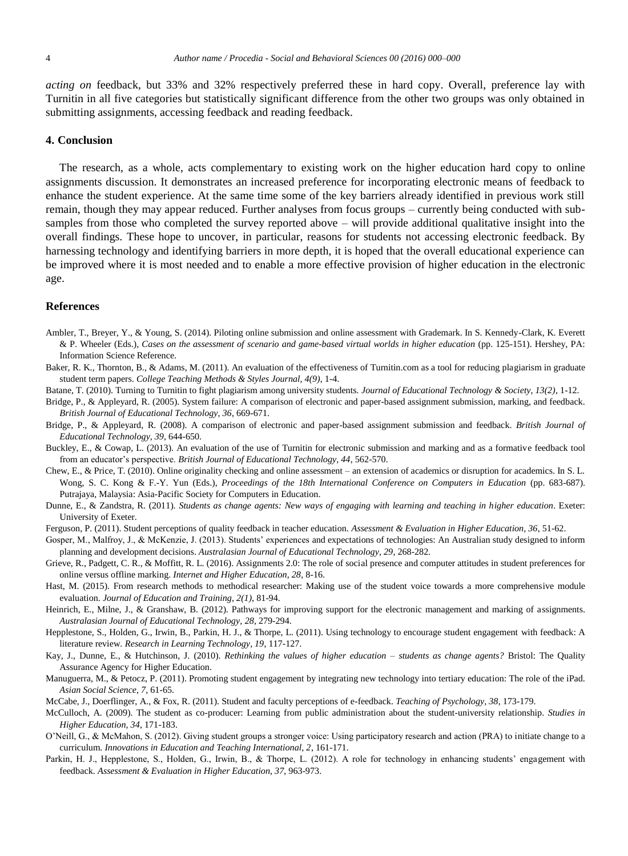*acting on* feedback, but 33% and 32% respectively preferred these in hard copy. Overall, preference lay with Turnitin in all five categories but statistically significant difference from the other two groups was only obtained in submitting assignments, accessing feedback and reading feedback.

### **4. Conclusion**

The research, as a whole, acts complementary to existing work on the higher education hard copy to online assignments discussion. It demonstrates an increased preference for incorporating electronic means of feedback to enhance the student experience. At the same time some of the key barriers already identified in previous work still remain, though they may appear reduced. Further analyses from focus groups – currently being conducted with subsamples from those who completed the survey reported above – will provide additional qualitative insight into the overall findings. These hope to uncover, in particular, reasons for students not accessing electronic feedback. By harnessing technology and identifying barriers in more depth, it is hoped that the overall educational experience can be improved where it is most needed and to enable a more effective provision of higher education in the electronic age.

### **References**

- Ambler, T., Breyer, Y., & Young, S. (2014). Piloting online submission and online assessment with Grademark. In S. Kennedy-Clark, K. Everett & P. Wheeler (Eds.), *Cases on the assessment of scenario and game-based virtual worlds in higher education* (pp. 125-151). Hershey, PA: Information Science Reference.
- Baker, R. K., Thornton, B., & Adams, M. (2011). An evaluation of the effectiveness of Turnitin.com as a tool for reducing plagiarism in graduate student term papers. *College Teaching Methods & Styles Journal, 4(9)*, 1-4.

Batane, T. (2010). Turning to Turnitin to fight plagiarism among university students. *Journal of Educational Technology & Society, 13(2)*, 1-12.

- Bridge, P., & Appleyard, R. (2005). System failure: A comparison of electronic and paper-based assignment submission, marking, and feedback. *British Journal of Educational Technology, 36*, 669-671.
- Bridge, P., & Appleyard, R. (2008). A comparison of electronic and paper-based assignment submission and feedback. *British Journal of Educational Technology, 39*, 644-650.
- Buckley, E., & Cowap, L. (2013). An evaluation of the use of Turnitin for electronic submission and marking and as a formative feedback tool from an educator's perspective. *British Journal of Educational Technology, 44*, 562-570.
- Chew, E., & Price, T. (2010). Online originality checking and online assessment an extension of academics or disruption for academics. In S. L. Wong, S. C. Kong & F.-Y. Yun (Eds.), *Proceedings of the 18th International Conference on Computers in Education* (pp. 683-687). Putrajaya, Malaysia: Asia-Pacific Society for Computers in Education.
- Dunne, E., & Zandstra, R. (2011). *Students as change agents: New ways of engaging with learning and teaching in higher education*. Exeter: University of Exeter.
- Ferguson, P. (2011). Student perceptions of quality feedback in teacher education. *Assessment & Evaluation in Higher Education, 36*, 51-62.
- Gosper, M., Malfroy, J., & McKenzie, J. (2013). Students' experiences and expectations of technologies: An Australian study designed to inform planning and development decisions. *Australasian Journal of Educational Technology, 29*, 268-282.
- Grieve, R., Padgett, C. R., & Moffitt, R. L. (2016). Assignments 2.0: The role of social presence and computer attitudes in student preferences for online versus offline marking. *Internet and Higher Education, 28*, 8-16.
- Hast, M. (2015). From research methods to methodical researcher: Making use of the student voice towards a more comprehensive module evaluation. *Journal of Education and Training, 2(1)*, 81-94.
- Heinrich, E., Milne, J., & Granshaw, B. (2012). Pathways for improving support for the electronic management and marking of assignments. *Australasian Journal of Educational Technology, 28*, 279-294.
- Hepplestone, S., Holden, G., Irwin, B., Parkin, H. J., & Thorpe, L. (2011). Using technology to encourage student engagement with feedback: A literature review. *Research in Learning Technology, 19*, 117-127.
- Kay, J., Dunne, E., & Hutchinson, J. (2010). *Rethinking the values of higher education – students as change agents?* Bristol: The Quality Assurance Agency for Higher Education.

Manuguerra, M., & Petocz, P. (2011). Promoting student engagement by integrating new technology into tertiary education: The role of the iPad. *Asian Social Science, 7*, 61-65.

- McCabe, J., Doerflinger, A., & Fox, R. (2011). Student and faculty perceptions of e-feedback. *Teaching of Psychology, 38*, 173-179.
- McCulloch, A. (2009). The student as co-producer: Learning from public administration about the student-university relationship. *Studies in Higher Education, 34*, 171-183.
- O'Neill, G., & McMahon, S. (2012). Giving student groups a stronger voice: Using participatory research and action (PRA) to initiate change to a curriculum. *Innovations in Education and Teaching International, 2*, 161-171.
- Parkin, H. J., Hepplestone, S., Holden, G., Irwin, B., & Thorpe, L. (2012). A role for technology in enhancing students' engagement with feedback. *Assessment & Evaluation in Higher Education, 37*, 963-973.